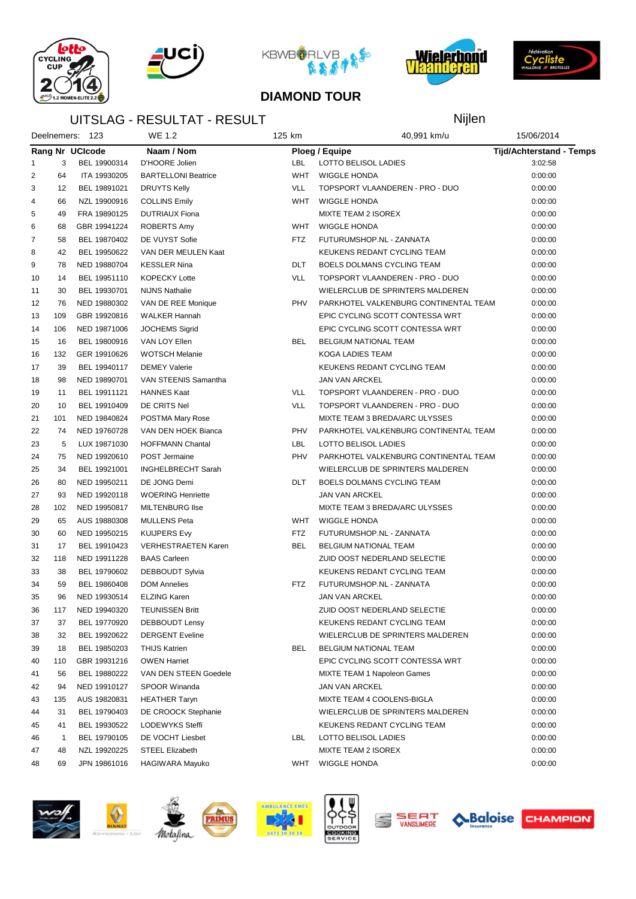







Nijlen



#### **DIAMOND TOUR**

### UITSLAG - RESULTAT - RESULT

|                |              | Deelnemers: 123 | WE 1.2                     | 125 km     | 40,991 km/u                           | 15/06/2014                      |  |
|----------------|--------------|-----------------|----------------------------|------------|---------------------------------------|---------------------------------|--|
|                |              | Rang Nr UCIcode | Naam / Nom                 |            | Ploeg / Equipe                        | <b>Tijd/Achterstand - Temps</b> |  |
| 1              | 3            | BEL 19900314    | D'HOORE Jolien             | LBL        | LOTTO BELISOL LADIES                  | 3:02:58                         |  |
| 2              | 64           | ITA 19930205    | <b>BARTELLONI Beatrice</b> | WHT        | <b>WIGGLE HONDA</b>                   | 0:00:00                         |  |
| 3              | 12           | BEL 19891021    | DRUYTS Kelly               | <b>VLL</b> | TOPSPORT VLAANDEREN - PRO - DUO       | 0:00:00                         |  |
| 4              | 66           | NZL 19900916    | <b>COLLINS Emily</b>       | WHT        | <b>WIGGLE HONDA</b>                   | 0:00:00                         |  |
| 5              | 49           | FRA 19890125    | <b>DUTRIAUX Fiona</b>      |            | MIXTE TEAM 2 ISOREX                   | 0:00:00                         |  |
| 6              | 68           | GBR 19941224    | ROBERTS Amy                | <b>WHT</b> | <b>WIGGLE HONDA</b>                   | 0:00:00                         |  |
| $\overline{7}$ | 58           | BEL 19870402    | DE VUYST Sofie             | FTZ.       | FUTURUMSHOP.NL - ZANNATA              | 0:00:00                         |  |
| 8              | 42           | BEL 19950622    | VAN DER MEULEN Kaat        |            | KEUKENS REDANT CYCLING TEAM           | 0:00:00                         |  |
| 9              | 78           | NED 19880704    | <b>KESSLER Nina</b>        | <b>DLT</b> | BOELS DOLMANS CYCLING TEAM            | 0:00:00                         |  |
| 10             | 14           | BEL 19951110    | <b>KOPECKY Lotte</b>       | <b>VLL</b> | TOPSPORT VLAANDEREN - PRO - DUO       | 0:00:00                         |  |
| 11             | 30           | BEL 19930701    | <b>NIJNS Nathalie</b>      |            | WIELERCLUB DE SPRINTERS MALDEREN      | 0:00:00                         |  |
| 12             | 76           | NED 19880302    | VAN DE REE Monique         | PHV        | PARKHOTEL VALKENBURG CONTINENTAL TEAM | 0:00:00                         |  |
| 13             | 109          | GBR 19920816    | WALKER Hannah              |            | EPIC CYCLING SCOTT CONTESSA WRT       | 0:00:00                         |  |
| 14             | 106          | NED 19871006    | <b>JOCHEMS Sigrid</b>      |            | EPIC CYCLING SCOTT CONTESSA WRT       | 0:00:00                         |  |
| 15             | 16           | BEL 19800916    | VAN LOY Ellen              | BEL        | <b>BELGIUM NATIONAL TEAM</b>          | 0:00:00                         |  |
| 16             | 132          | GER 19910626    | <b>WOTSCH Melanie</b>      |            | <b>KOGA LADIES TEAM</b>               | 0:00:00                         |  |
| 17             | 39           | BEL 19940117    | <b>DEMEY Valerie</b>       |            | KEUKENS REDANT CYCLING TEAM           | 0:00:00                         |  |
| 18             | 98           | NED 19890701    | VAN STEENIS Samantha       |            | <b>JAN VAN ARCKEL</b>                 | 0:00:00                         |  |
| 19             | 11           | BEL 19911121    | <b>HANNES Kaat</b>         | <b>VLL</b> | TOPSPORT VLAANDEREN - PRO - DUO       | 0:00:00                         |  |
| 20             | 10           | BEL 19910409    | DE CRITS Nel               | <b>VLL</b> | TOPSPORT VLAANDEREN - PRO - DUO       | 0:00:00                         |  |
| 21             | 101          | NED 19840824    | POSTMA Mary Rose           |            | MIXTE TEAM 3 BREDA/ARC ULYSSES        | 0:00:00                         |  |
| 22             | 74           | NED 19760728    | VAN DEN HOEK Bianca        | PHV        | PARKHOTEL VALKENBURG CONTINENTAL TEAM | 0:00:00                         |  |
| 23             | 5            | LUX 19871030    | <b>HOFFMANN Chantal</b>    | LBL        | LOTTO BELISOL LADIES                  | 0:00:00                         |  |
| 24             | 75           | NED 19920610    | <b>POST Jermaine</b>       | PHV        | PARKHOTEL VALKENBURG CONTINENTAL TEAM | 0:00:00                         |  |
| 25             | 34           | BEL 19921001    | INGHELBRECHT Sarah         |            | WIELERCLUB DE SPRINTERS MALDEREN      | 0:00:00                         |  |
| 26             | 80           | NED 19950211    | DE JONG Demi               | <b>DLT</b> | BOELS DOLMANS CYCLING TEAM            | 0:00:00                         |  |
| 27             | 93           | NED 19920118    | <b>WOERING Henriette</b>   |            | <b>JAN VAN ARCKEL</b>                 | 0:00:00                         |  |
| 28             | 102          | NED 19950817    | <b>MILTENBURG Ilse</b>     |            | MIXTE TEAM 3 BREDA/ARC ULYSSES        | 0:00:00                         |  |
| 29             | 65           | AUS 19880308    | <b>MULLENS Peta</b>        | WHT        | <b>WIGGLE HONDA</b>                   | 0:00:00                         |  |
| 30             | 60           | NED 19950215    | <b>KUIJPERS Evy</b>        | <b>FTZ</b> | FUTURUMSHOP.NL - ZANNATA              | 0:00:00                         |  |
| 31             | 17           | BEL 19910423    | <b>VERHESTRAETEN Karen</b> | BEL        | BELGIUM NATIONAL TEAM                 | 0:00:00                         |  |
| 32             | 118          | NED 19911228    | <b>BAAS Carleen</b>        |            | ZUID OOST NEDERLAND SELECTIE          | 0:00:00                         |  |
| 33             | 38           | BEL 19790602    | DEBBOUDT Sylvia            |            | KEUKENS REDANT CYCLING TEAM           | 0:00:00                         |  |
| 34             | 59           | BEL 19860408    | <b>DOM Annelies</b>        | FTZ.       | FUTURUMSHOP.NL - ZANNATA              | 0:00:00                         |  |
| 35             | 96           | NED 19930514    | <b>ELZING Karen</b>        |            | JAN VAN ARCKEL                        | 0:00:00                         |  |
| 36             | 117          | NED 19940320    | <b>TEUNISSEN Britt</b>     |            | ZUID OOST NEDERLAND SELECTIE          | 0:00:00                         |  |
| 37             | 37           | BEL 19770920    | <b>DEBBOUDT Lensy</b>      |            | KEUKENS REDANT CYCLING TEAM           | 0:00:00                         |  |
| 38             | 32           | BEL 19920622    | <b>DERGENT Eveline</b>     |            | WIELERCLUB DE SPRINTERS MALDEREN      | 0:00:00                         |  |
| 39             | 18           | BEL 19850203    | <b>THIJS Katrien</b>       | BEL        | BELGIUM NATIONAL TEAM                 | 0:00:00                         |  |
| 40             | 110          | GBR 19931216    | <b>OWEN Harriet</b>        |            | EPIC CYCLING SCOTT CONTESSA WRT       | 0:00:00                         |  |
| 41             | 56           | BEL 19880222    | VAN DEN STEEN Goedele      |            | <b>MIXTE TEAM 1 Napoleon Games</b>    | 0:00:00                         |  |
| 42             | 94           | NED 19910127    | SPOOR Winanda              |            | JAN VAN ARCKEL                        | 0:00:00                         |  |
| 43             | 135          | AUS 19820831    | <b>HEATHER Taryn</b>       |            | MIXTE TEAM 4 COOLENS-BIGLA            | 0:00:00                         |  |
| 44             | 31           | BEL 19790403    | DE CROOCK Stephanie        |            | WIELERCLUB DE SPRINTERS MALDEREN      | 0:00:00                         |  |
| 45             | 41           | BEL 19930522    | LODEWYKS Steffi            |            | KEUKENS REDANT CYCLING TEAM           | 0:00:00                         |  |
| 46             | $\mathbf{1}$ | BEL 19790105    | DE VOCHT Liesbet           | LBL        | LOTTO BELISOL LADIES                  | 0:00:00                         |  |
| 47             | 48           | NZL 19920225    | <b>STEEL Elizabeth</b>     |            | MIXTE TEAM 2 ISOREX                   | 0:00:00                         |  |
| 48             | 69           | JPN 19861016    | HAGIWARA Mayuko            | WHT        | <b>WIGGLE HONDA</b>                   | 0:00:00                         |  |
|                |              |                 |                            |            |                                       |                                 |  |







PRIMUS









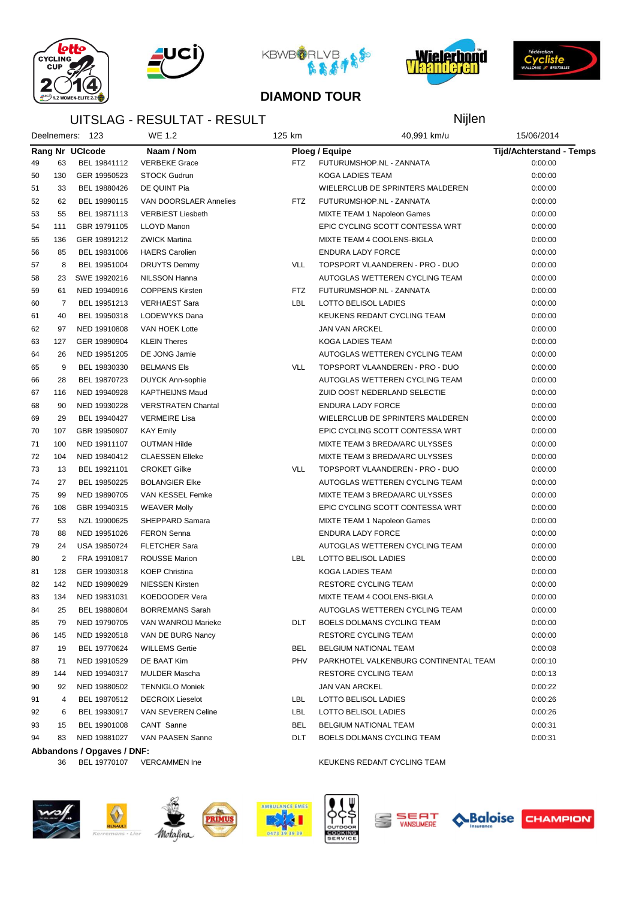







Nijlen



#### **DIAMOND TOUR**

### UITSLAG - RESULTAT - RESULT

|    |                | Deelnemers: 123            | WE 1.2                    | 125 km<br>40,991 km/u |                                       | 15/06/2014                      |  |
|----|----------------|----------------------------|---------------------------|-----------------------|---------------------------------------|---------------------------------|--|
|    |                | Rang Nr UCIcode            | Naam / Nom                |                       | Ploeg / Equipe                        | <b>Tijd/Achterstand - Temps</b> |  |
| 49 | 63             | BEL 19841112               | <b>VERBEKE Grace</b>      | <b>FTZ</b>            | FUTURUMSHOP.NL - ZANNATA              | 0:00:00                         |  |
| 50 | 130            | GER 19950523               | <b>STOCK Gudrun</b>       |                       | KOGA LADIES TEAM                      | 0:00:00                         |  |
| 51 | 33             | BEL 19880426               | DE QUINT Pia              |                       | WIELERCLUB DE SPRINTERS MALDEREN      | 0:00:00                         |  |
| 52 | 62             | BEL 19890115               | VAN DOORSLAER Annelies    | FTZ                   | FUTURUMSHOP.NL - ZANNATA              | 0:00:00                         |  |
| 53 | 55             | BEL 19871113               | <b>VERBIEST Liesbeth</b>  |                       | <b>MIXTE TEAM 1 Napoleon Games</b>    | 0:00:00                         |  |
| 54 | 111            | GBR 19791105               | <b>LLOYD Manon</b>        |                       | EPIC CYCLING SCOTT CONTESSA WRT       | 0:00:00                         |  |
| 55 | 136            | GER 19891212               | <b>ZWICK Martina</b>      |                       | MIXTE TEAM 4 COOLENS-BIGLA            | 0:00:00                         |  |
| 56 | 85             | BEL 19831006               | <b>HAERS Carolien</b>     |                       | <b>ENDURA LADY FORCE</b>              | 0:00:00                         |  |
| 57 | 8              | BEL 19951004               | <b>DRUYTS Demmy</b>       | <b>VLL</b>            | TOPSPORT VLAANDEREN - PRO - DUO       | 0:00:00                         |  |
| 58 | 23             | SWE 19920216               | NILSSON Hanna             |                       | AUTOGLAS WETTEREN CYCLING TEAM        | 0:00:00                         |  |
| 59 | 61             | NED 19940916               | <b>COPPENS Kirsten</b>    | <b>FTZ</b>            | FUTURUMSHOP.NL - ZANNATA              | 0:00:00                         |  |
| 60 | $\overline{7}$ | BEL 19951213               | <b>VERHAEST Sara</b>      | LBL                   | LOTTO BELISOL LADIES                  | 0:00:00                         |  |
| 61 | 40             | BEL 19950318               | LODEWYKS Dana             |                       | KEUKENS REDANT CYCLING TEAM           | 0:00:00                         |  |
| 62 | 97             | NED 19910808               | VAN HOEK Lotte            |                       | <b>JAN VAN ARCKEL</b>                 | 0:00:00                         |  |
| 63 | 127            | GER 19890904               | <b>KLEIN Theres</b>       |                       | KOGA LADIES TEAM                      | 0:00:00                         |  |
| 64 | 26             | NED 19951205               | DE JONG Jamie             |                       | AUTOGLAS WETTEREN CYCLING TEAM        | 0:00:00                         |  |
| 65 | 9              | BEL 19830330               | <b>BELMANS Els</b>        | <b>VLL</b>            | TOPSPORT VLAANDEREN - PRO - DUO       | 0:00:00                         |  |
| 66 | 28             | BEL 19870723               | <b>DUYCK Ann-sophie</b>   |                       | AUTOGLAS WETTEREN CYCLING TEAM        | 0:00:00                         |  |
| 67 | 116            | NED 19940928               | <b>KAPTHEIJNS Maud</b>    |                       | ZUID OOST NEDERLAND SELECTIE          | 0:00:00                         |  |
| 68 | 90             | NED 19930228               | <b>VERSTRATEN Chantal</b> |                       | <b>ENDURA LADY FORCE</b>              | 0:00:00                         |  |
| 69 | 29             | BEL 19940427               | <b>VERMEIRE Lisa</b>      |                       | WIELERCLUB DE SPRINTERS MALDEREN      | 0:00:00                         |  |
| 70 | 107            | GBR 19950907               | <b>KAY Emily</b>          |                       | EPIC CYCLING SCOTT CONTESSA WRT       | 0:00:00                         |  |
| 71 | 100            | NED 19911107               | <b>OUTMAN Hilde</b>       |                       | MIXTE TEAM 3 BREDA/ARC ULYSSES        | 0:00:00                         |  |
| 72 | 104            | NED 19840412               | <b>CLAESSEN Elleke</b>    |                       | MIXTE TEAM 3 BREDA/ARC ULYSSES        | 0:00:00                         |  |
| 73 | 13             | BEL 19921101               | <b>CROKET Gilke</b>       | VLL                   | TOPSPORT VLAANDEREN - PRO - DUO       | 0:00:00                         |  |
| 74 | 27             | BEL 19850225               | <b>BOLANGIER Elke</b>     |                       | AUTOGLAS WETTEREN CYCLING TEAM        | 0:00:00                         |  |
| 75 | 99             | NED 19890705               | VAN KESSEL Femke          |                       | MIXTE TEAM 3 BREDA/ARC ULYSSES        | 0:00:00                         |  |
| 76 | 108            | GBR 19940315               | <b>WEAVER Molly</b>       |                       | EPIC CYCLING SCOTT CONTESSA WRT       | 0:00:00                         |  |
| 77 | 53             | NZL 19900625               | SHEPPARD Samara           |                       | MIXTE TEAM 1 Napoleon Games           | 0:00:00                         |  |
| 78 | 88             | NED 19951026               | <b>FERON Senna</b>        |                       | <b>ENDURA LADY FORCE</b>              | 0:00:00                         |  |
| 79 | 24             | USA 19850724               | <b>FLETCHER Sara</b>      |                       | AUTOGLAS WETTEREN CYCLING TEAM        | 0:00:00                         |  |
| 80 | $\overline{2}$ | FRA 19910817               | <b>ROUSSE Marion</b>      | LBL                   | LOTTO BELISOL LADIES                  | 0:00:00                         |  |
| 81 | 128            | GER 19930318               | <b>KOEP Christina</b>     |                       | KOGA LADIES TEAM                      | 0:00:00                         |  |
| 82 | 142            | NED 19890829               | <b>NIESSEN Kirsten</b>    |                       | <b>RESTORE CYCLING TEAM</b>           | 0:00:00                         |  |
| 83 | 134            | NED 19831031               | KOEDOODER Vera            |                       | MIXTE TEAM 4 COOLENS-BIGLA            | 0:00:00                         |  |
| 84 | 25             | BEL 19880804               | <b>BORREMANS Sarah</b>    |                       | AUTOGLAS WETTEREN CYCLING TEAM        | 0:00:00                         |  |
| 85 | 79             | NED 19790705               | VAN WANROIJ Marieke       | DLT                   | BOELS DOLMANS CYCLING TEAM            | 0:00:00                         |  |
| 86 | 145            | NED 19920518               | VAN DE BURG Nancy         |                       | RESTORE CYCLING TEAM                  | 0:00:00                         |  |
| 87 | 19             | BEL 19770624               | <b>WILLEMS Gertie</b>     | BEL                   | BELGIUM NATIONAL TEAM                 | 0:00:08                         |  |
| 88 | 71             | NED 19910529               | DE BAAT Kim               | PHV                   | PARKHOTEL VALKENBURG CONTINENTAL TEAM | 0:00:10                         |  |
| 89 | 144            | NED 19940317               | MULDER Mascha             |                       | RESTORE CYCLING TEAM                  | 0:00:13                         |  |
| 90 | 92             | NED 19880502               | <b>TENNIGLO Moniek</b>    |                       | JAN VAN ARCKEL                        | 0:00:22                         |  |
| 91 | 4              | BEL 19870512               | <b>DECROIX Lieselot</b>   | LBL                   | LOTTO BELISOL LADIES                  | 0:00:26                         |  |
| 92 | 6              | BEL 19930917               | VAN SEVEREN Celine        | LBL                   | LOTTO BELISOL LADIES                  | 0:00:26                         |  |
| 93 | 15             | BEL 19901008               | CANT Sanne                | BEL                   | <b>BELGIUM NATIONAL TEAM</b>          | 0:00:31                         |  |
| 94 | 83             | NED 19881027               | VAN PAASEN Sanne          | DLT                   | BOELS DOLMANS CYCLING TEAM            | 0:00:31                         |  |
|    |                | Abbandons / Opgaves / DNF: |                           |                       |                                       |                                 |  |
|    | 36             | BEL 19770107               | <b>VERCAMMEN Ine</b>      |                       | KEUKENS REDANT CYCLING TEAM           |                                 |  |















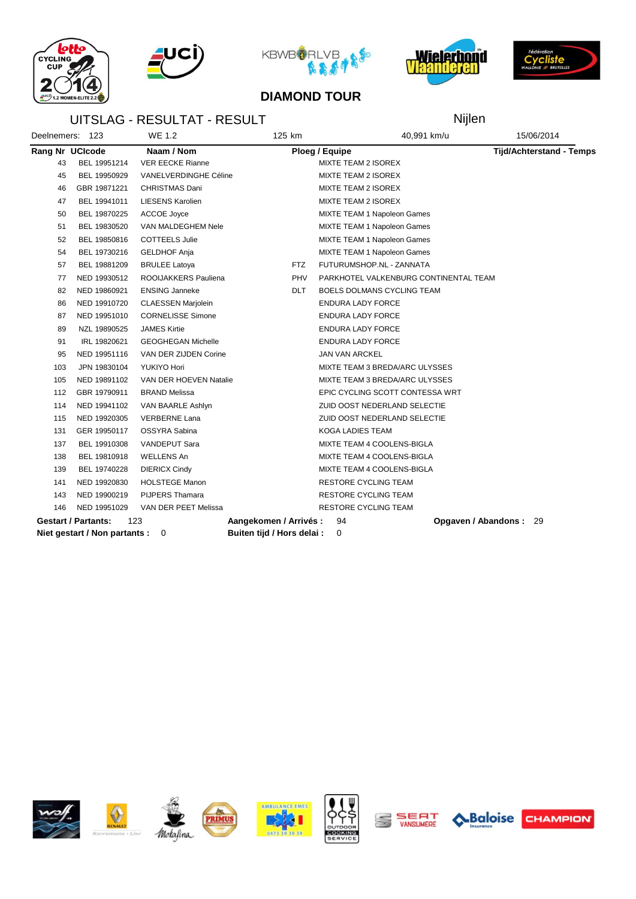







Nijlen



#### **DIAMOND TOUR**

### UITSLAG - RESULTAT - RESULT

| Deelnemers: 123 |                               | <b>WE 1.2</b>             | 125 km                     | 40,991 km/u                           | 15/06/2014                      |
|-----------------|-------------------------------|---------------------------|----------------------------|---------------------------------------|---------------------------------|
|                 | Rang Nr UCIcode               | Naam / Nom                |                            | Ploeg / Equipe                        | <b>Tijd/Achterstand - Temps</b> |
| 43              | BEL 19951214                  | <b>VER EECKE Rianne</b>   |                            | MIXTE TEAM 2 ISOREX                   |                                 |
| 45              | BEL 19950929                  | VANELVERDINGHE Céline     |                            | MIXTE TEAM 2 ISOREX                   |                                 |
| 46              | GBR 19871221                  | CHRISTMAS Dani            |                            | <b>MIXTE TEAM 2 ISOREX</b>            |                                 |
| 47              | BEL 19941011                  | <b>LIESENS Karolien</b>   |                            | <b>MIXTE TEAM 2 ISOREX</b>            |                                 |
| 50              | BEL 19870225                  | ACCOE Joyce               |                            | <b>MIXTE TEAM 1 Napoleon Games</b>    |                                 |
| 51              | BEL 19830520                  | VAN MALDEGHEM Nele        |                            | MIXTE TEAM 1 Napoleon Games           |                                 |
| 52              | BEL 19850816                  | <b>COTTEELS Julie</b>     |                            | <b>MIXTE TEAM 1 Napoleon Games</b>    |                                 |
| 54              | BEL 19730216                  | <b>GELDHOF Anja</b>       |                            | <b>MIXTE TEAM 1 Napoleon Games</b>    |                                 |
| 57              | BEL 19881209                  | <b>BRULEE Latoya</b>      | <b>FTZ</b>                 | FUTURUMSHOP.NL - ZANNATA              |                                 |
| 77              | NED 19930512                  | ROOIJAKKERS Pauliena      | <b>PHV</b>                 | PARKHOTEL VALKENBURG CONTINENTAL TEAM |                                 |
| 82              | NED 19860921                  | <b>ENSING Janneke</b>     | <b>DLT</b>                 | BOELS DOLMANS CYCLING TEAM            |                                 |
| 86              | NED 19910720                  | <b>CLAESSEN Marjolein</b> |                            | ENDURA LADY FORCE                     |                                 |
| 87              | NED 19951010                  | <b>CORNELISSE Simone</b>  |                            | <b>ENDURA LADY FORCE</b>              |                                 |
| 89              | NZL 19890525                  | <b>JAMES Kirtie</b>       |                            | <b>ENDURA LADY FORCE</b>              |                                 |
| 91              | IRL 19820621                  | <b>GEOGHEGAN Michelle</b> |                            | <b>ENDURA LADY FORCE</b>              |                                 |
| 95              | NED 19951116                  | VAN DER ZIJDEN Corine     |                            | <b>JAN VAN ARCKEL</b>                 |                                 |
| 103             | JPN 19830104                  | YUKIYO Hori               |                            | MIXTE TEAM 3 BREDA/ARC ULYSSES        |                                 |
| 105             | NED 19891102                  | VAN DER HOEVEN Natalie    |                            | MIXTE TEAM 3 BREDA/ARC ULYSSES        |                                 |
| 112             | GBR 19790911                  | <b>BRAND Melissa</b>      |                            | EPIC CYCLING SCOTT CONTESSA WRT       |                                 |
| 114             | NED 19941102                  | VAN BAARLE Ashlyn         |                            | ZUID OOST NEDERLAND SELECTIE          |                                 |
| 115             | NED 19920305                  | <b>VERBERNE Lana</b>      |                            | ZUID OOST NEDERLAND SELECTIE          |                                 |
| 131             | GER 19950117                  | OSSYRA Sabina             |                            | KOGA LADIES TEAM                      |                                 |
| 137             | BEL 19910308                  | VANDEPUT Sara             |                            | MIXTE TEAM 4 COOLENS-BIGLA            |                                 |
| 138             | BEL 19810918                  | <b>WELLENS An</b>         |                            | MIXTE TEAM 4 COOLENS-BIGLA            |                                 |
| 139             | BEL 19740228                  | <b>DIERICX Cindy</b>      |                            | MIXTE TEAM 4 COOLENS-BIGLA            |                                 |
| 141             | NED 19920830                  | <b>HOLSTEGE Manon</b>     |                            | <b>RESTORE CYCLING TEAM</b>           |                                 |
| 143             | NED 19900219                  | <b>PIJPERS Thamara</b>    |                            | <b>RESTORE CYCLING TEAM</b>           |                                 |
| 146             | NED 19951029                  | VAN DER PEET Melissa      |                            | <b>RESTORE CYCLING TEAM</b>           |                                 |
|                 | <b>Gestart / Partants:</b>    | 123                       | Aangekomen / Arrivés:      | 94                                    | Opgaven / Abandons:<br>29       |
|                 | Niet gestart / Non partants : | 0                         | Buiten tijd / Hors delai : | 0                                     |                                 |















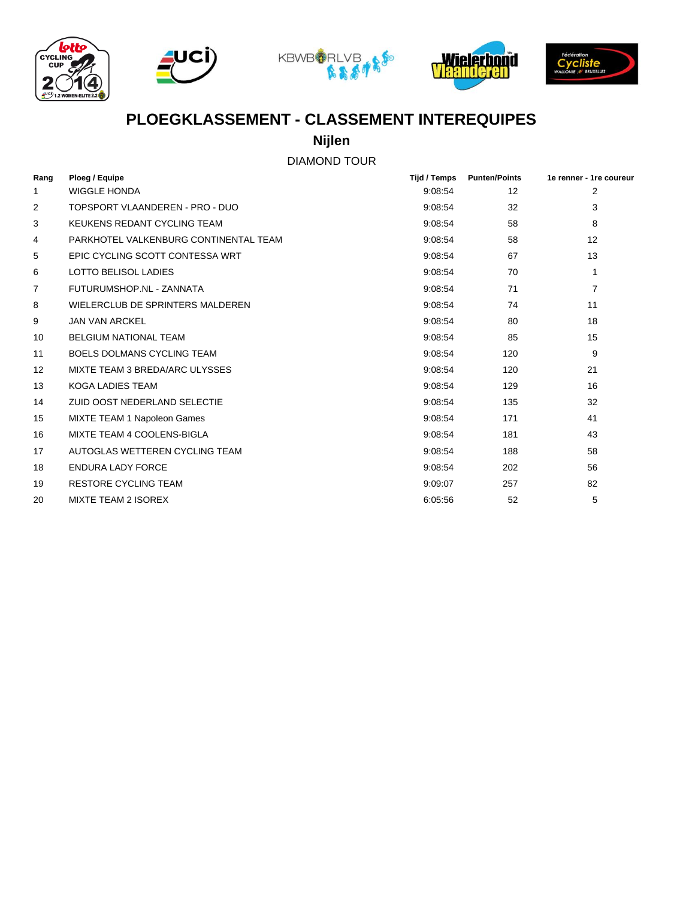









## **PLOEGKLASSEMENT - CLASSEMENT INTEREQUIPES**

**Nijlen**

### DIAMOND TOUR

| Rang           | Ploeg / Equipe                        | <b>Tijd / Temps</b> | <b>Punten/Points</b> | 1e renner - 1re coureur |
|----------------|---------------------------------------|---------------------|----------------------|-------------------------|
| 1              | <b>WIGGLE HONDA</b>                   | 9:08:54             | $12 \overline{ }$    | 2                       |
| 2              | TOPSPORT VLAANDEREN - PRO - DUO       | 9:08:54             | 32                   | 3                       |
| 3              | KEUKENS REDANT CYCLING TEAM           | 9:08:54             | 58                   | 8                       |
| 4              | PARKHOTEL VALKENBURG CONTINENTAL TEAM | 9:08:54             | 58                   | 12                      |
| 5              | EPIC CYCLING SCOTT CONTESSA WRT       | 9:08:54             | 67                   | 13                      |
| 6              | <b>LOTTO BELISOL LADIES</b>           | 9:08:54             | 70                   | 1                       |
| $\overline{7}$ | FUTURUMSHOP.NL - ZANNATA              | 9:08:54             | 71                   | 7                       |
| 8              | WIELERCLUB DE SPRINTERS MALDEREN      | 9:08:54             | 74                   | 11                      |
| 9              | <b>JAN VAN ARCKEL</b>                 | 9:08:54             | 80                   | 18                      |
| 10             | <b>BELGIUM NATIONAL TEAM</b>          | 9:08:54             | 85                   | 15                      |
| 11             | <b>BOELS DOLMANS CYCLING TEAM</b>     | 9:08:54             | 120                  | 9                       |
| 12             | MIXTE TEAM 3 BREDA/ARC ULYSSES        | 9:08:54             | 120                  | 21                      |
| 13             | <b>KOGA LADIES TEAM</b>               | 9:08:54             | 129                  | 16                      |
| 14             | ZUID OOST NEDERLAND SELECTIE          | 9:08:54             | 135                  | 32                      |
| 15             | MIXTE TEAM 1 Napoleon Games           | 9:08:54             | 171                  | 41                      |
| 16             | MIXTE TEAM 4 COOLENS-BIGLA            | 9:08:54             | 181                  | 43                      |
| 17             | AUTOGLAS WETTEREN CYCLING TEAM        | 9:08:54             | 188                  | 58                      |
| 18             | ENDURA LADY FORCE                     | 9:08:54             | 202                  | 56                      |
| 19             | <b>RESTORE CYCLING TEAM</b>           | 9:09:07             | 257                  | 82                      |
| 20             | <b>MIXTE TEAM 2 ISOREX</b>            | 6:05:56             | 52                   | 5                       |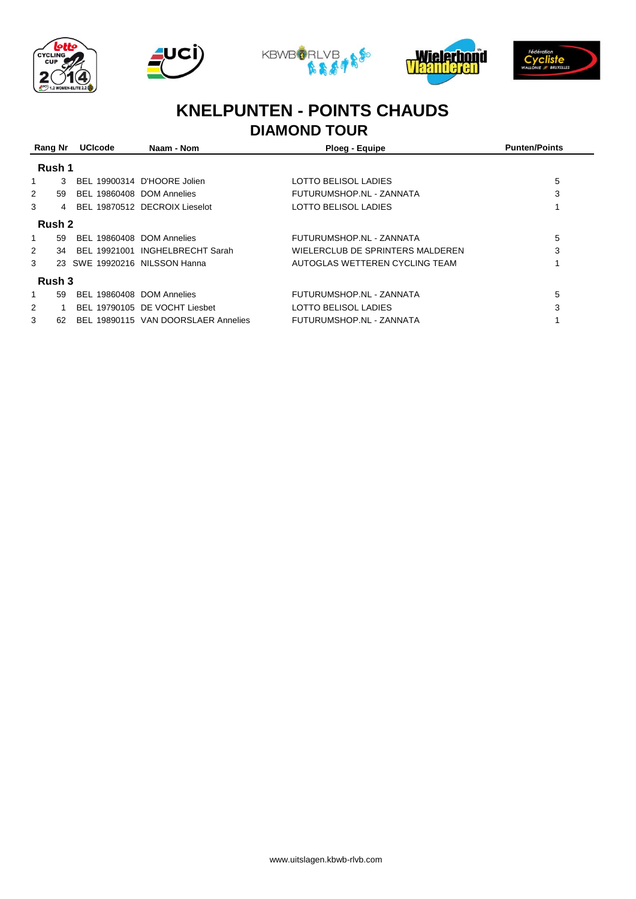









# **KNELPUNTEN - POINTS CHAUDS**

# **DIAMOND TOUR**

| Rang Nr |        | <b>UCIcode</b>            | Naam - Nom                          | Ploeg - Equipe                   | <b>Punten/Points</b> |
|---------|--------|---------------------------|-------------------------------------|----------------------------------|----------------------|
|         | Rush 1 |                           |                                     |                                  |                      |
|         | 3      |                           | BEL 19900314 D'HOORE Jolien         | LOTTO BELISOL LADIES             | 5                    |
| 2       | 59     | BEL 19860408 DOM Annelies |                                     | FUTURUMSHOP.NL - ZANNATA         | 3                    |
| 3       | 4      |                           | BEL 19870512 DECROIX Lieselot       | LOTTO BELISOL LADIES             |                      |
|         | Rush 2 |                           |                                     |                                  |                      |
| 1       | 59     | BEL 19860408 DOM Annelies |                                     | FUTURUMSHOP.NL - ZANNATA         | 5                    |
| 2       | 34     |                           | BEL 19921001 INGHELBRECHT Sarah     | WIELERCLUB DE SPRINTERS MALDEREN | 3                    |
| 3       |        |                           | 23 SWE 19920216 NILSSON Hanna       | AUTOGLAS WETTEREN CYCLING TEAM   |                      |
|         | Rush 3 |                           |                                     |                                  |                      |
| 1       | 59     | BEL 19860408 DOM Annelies |                                     | FUTURUMSHOP.NL - ZANNATA         | 5                    |
| 2       |        |                           | BEL 19790105 DE VOCHT Liesbet       | LOTTO BELISOL LADIES             | 3                    |
| 3       | 62     |                           | BEL 19890115 VAN DOORSLAER Annelies | FUTURUMSHOP.NL - ZANNATA         |                      |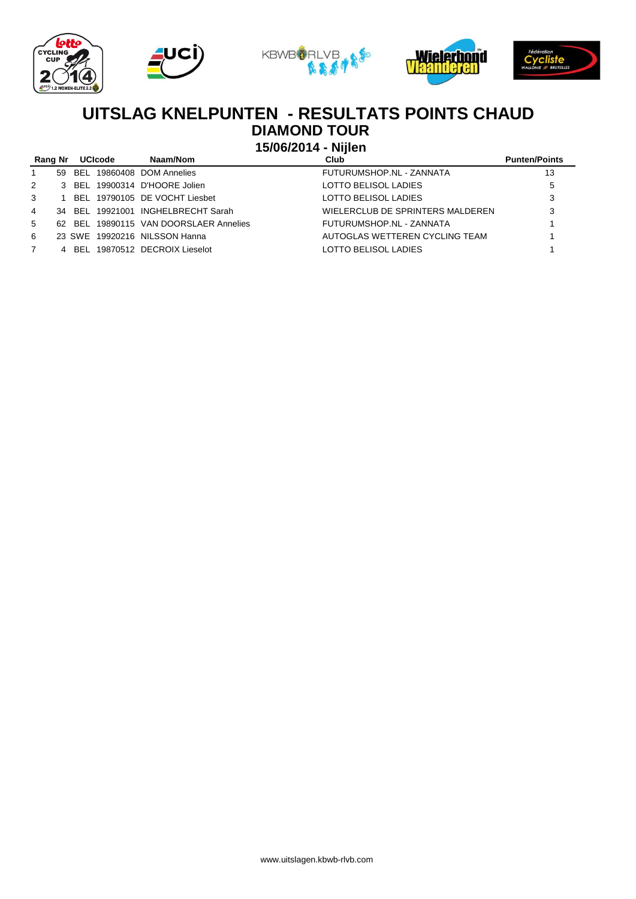









### **DIAMOND TOUR UITSLAG KNELPUNTEN - RESULTATS POINTS CHAUD**

**15/06/2014 - Nijlen**

|             | Rang Nr | <b>UCIcode</b> | Naam/Nom                               | Club                             | <b>Punten/Points</b> |
|-------------|---------|----------------|----------------------------------------|----------------------------------|----------------------|
| -1          |         |                | 59 BEL 19860408 DOM Annelies           | FUTURUMSHOP.NL - ZANNATA         | 13                   |
| 2           |         |                | 3 BEL 19900314 D'HOORE Jolien          | LOTTO BELISOL LADIES             | 5                    |
| 3           |         |                | 1 BEL 19790105 DE VOCHT Liesbet        | LOTTO BELISOL LADIES             | 3                    |
| 4           |         |                | 34 BEL 19921001 INGHELBRECHT Sarah     | WIELERCLUB DE SPRINTERS MALDEREN | 3                    |
| $5 -$       |         |                | 62 BEL 19890115 VAN DOORSLAER Annelies | FUTURUMSHOP.NL - ZANNATA         |                      |
| 6           |         |                | 23 SWE 19920216 NILSSON Hanna          | AUTOGLAS WETTEREN CYCLING TEAM   |                      |
| $7^{\circ}$ |         |                | 4 BEL 19870512 DECROIX Lieselot        | LOTTO BELISOL LADIES             |                      |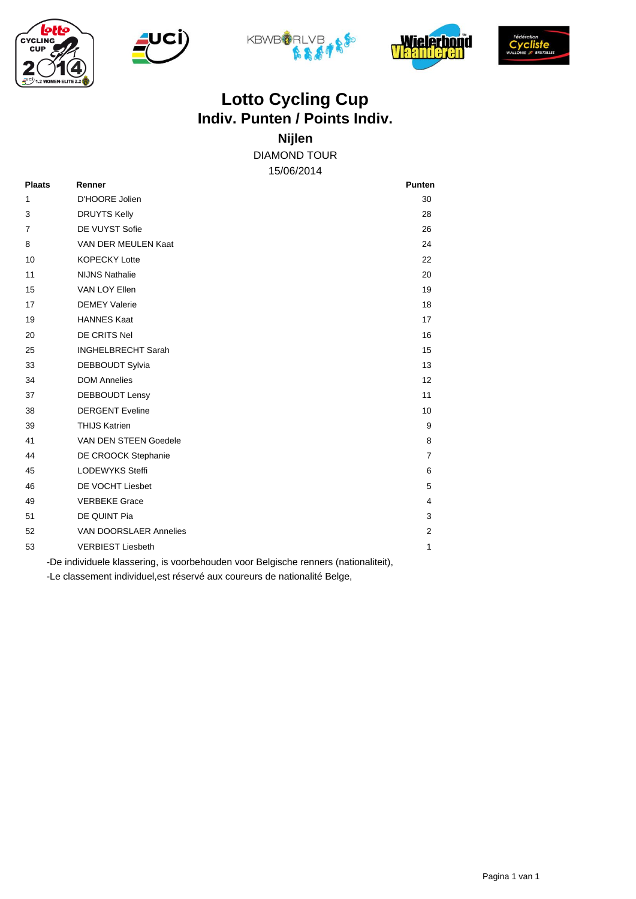









# **Indiv. Punten / Points Indiv. Lotto Cycling Cup**

DIAMOND TOUR **Nijlen**

15/06/2014

| <b>Plaats</b> | Renner                                                                              | <b>Punten</b>  |
|---------------|-------------------------------------------------------------------------------------|----------------|
| 1             | D'HOORE Jolien                                                                      | 30             |
| 3             | <b>DRUYTS Kelly</b>                                                                 | 28             |
| 7             | DE VUYST Sofie                                                                      | 26             |
| 8             | VAN DER MEULEN Kaat                                                                 | 24             |
| 10            | <b>KOPECKY Lotte</b>                                                                | 22             |
| 11            | <b>NIJNS Nathalie</b>                                                               | 20             |
| 15            | VAN LOY Ellen                                                                       | 19             |
| 17            | <b>DEMEY Valerie</b>                                                                | 18             |
| 19            | <b>HANNES Kaat</b>                                                                  | 17             |
| 20            | DE CRITS Nel                                                                        | 16             |
| 25            | <b>INGHELBRECHT Sarah</b>                                                           | 15             |
| 33            | <b>DEBBOUDT Sylvia</b>                                                              | 13             |
| 34            | <b>DOM Annelies</b>                                                                 | 12             |
| 37            | <b>DEBBOUDT Lensy</b>                                                               | 11             |
| 38            | <b>DERGENT Eveline</b>                                                              | 10             |
| 39            | <b>THIJS Katrien</b>                                                                | 9              |
| 41            | VAN DEN STEEN Goedele                                                               | 8              |
| 44            | DE CROOCK Stephanie                                                                 | $\overline{7}$ |
| 45            | <b>LODEWYKS Steffi</b>                                                              | 6              |
| 46            | DE VOCHT Liesbet                                                                    | 5              |
| 49            | <b>VERBEKE Grace</b>                                                                | 4              |
| 51            | DE QUINT Pia                                                                        | 3              |
| 52            | VAN DOORSLAER Annelies                                                              | $\overline{2}$ |
| 53            | <b>VERBIEST Liesbeth</b>                                                            | 1              |
|               | -De individuele klassering, is voorbehouden voor Belgische renners (nationaliteit), |                |

-Le classement individuel,est réservé aux coureurs de nationalité Belge,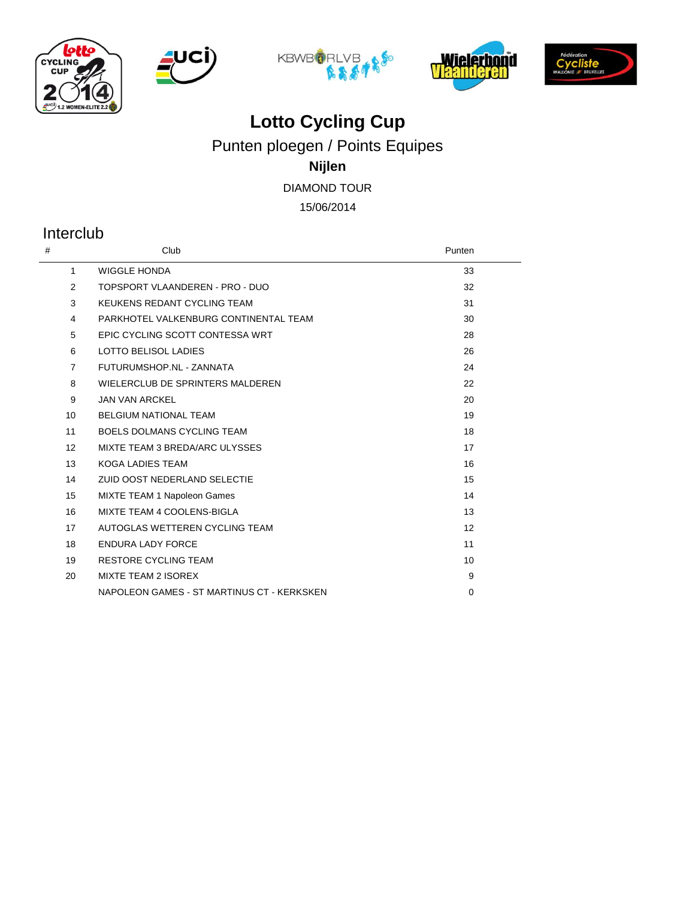









Punten ploegen / Points Equipes

### **Nijlen**

DIAMOND TOUR

15/06/2014

### Interclub

| #              | Club                                       | Punten   |
|----------------|--------------------------------------------|----------|
| $\mathbf{1}$   | <b>WIGGLE HONDA</b>                        | 33       |
| 2              | TOPSPORT VLAANDEREN - PRO - DUO            | 32       |
| 3              | KEUKENS REDANT CYCLING TEAM                | 31       |
| 4              | PARKHOTEL VALKENBURG CONTINENTAL TEAM      | 30       |
| 5              | EPIC CYCLING SCOTT CONTESSA WRT            | 28       |
| 6              | <b>LOTTO BELISOL LADIES</b>                | 26       |
| $\overline{7}$ | FUTURUMSHOP.NL - ZANNATA                   | 24       |
| 8              | WIELERCLUB DE SPRINTERS MALDEREN           | 22       |
| 9              | <b>JAN VAN ARCKEL</b>                      | 20       |
| 10             | <b>BELGIUM NATIONAL TEAM</b>               | 19       |
| 11             | <b>BOELS DOLMANS CYCLING TEAM</b>          | 18       |
| 12             | MIXTE TEAM 3 BREDA/ARC ULYSSES             | 17       |
| 13             | <b>KOGA LADIES TEAM</b>                    | 16       |
| 14             | ZUID OOST NEDERLAND SELECTIE               | 15       |
| 15             | MIXTE TEAM 1 Napoleon Games                | 14       |
| 16             | MIXTE TEAM 4 COOLENS-BIGLA                 | 13       |
| 17             | AUTOGLAS WETTEREN CYCLING TEAM             | 12       |
| 18             | <b>ENDURA LADY FORCE</b>                   | 11       |
| 19             | <b>RESTORE CYCLING TEAM</b>                | 10       |
| 20             | <b>MIXTE TEAM 2 ISOREX</b>                 | 9        |
|                | NAPOLEON GAMES - ST MARTINUS CT - KERKSKEN | $\Omega$ |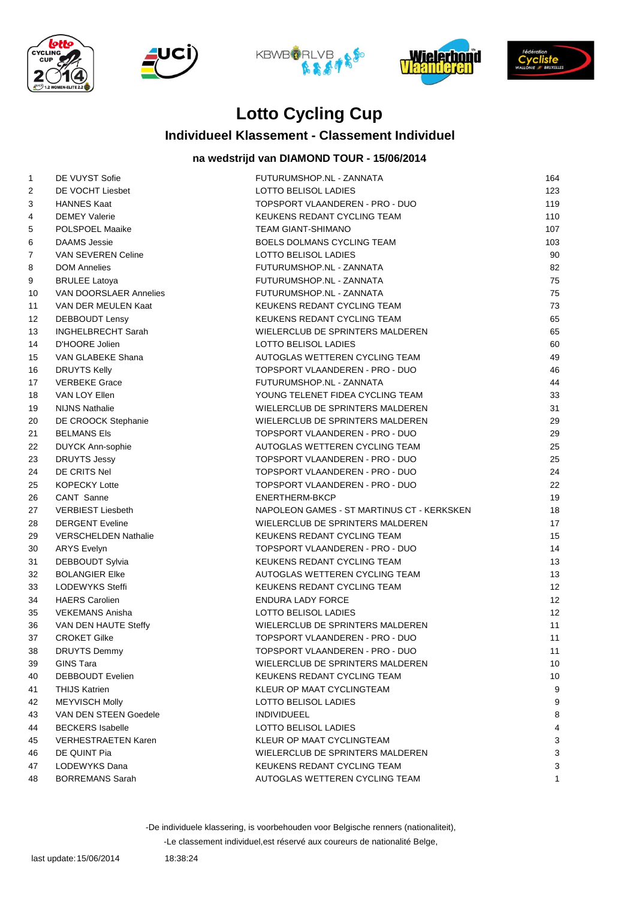









#### **Individueel Klassement - Classement Individuel**

#### **na wedstrijd van DIAMOND TOUR - 15/06/2014**

| $\mathbf{1}$ | DE VUYST Sofie              | FUTURUMSHOP.NL - ZANNATA                   | 164 |
|--------------|-----------------------------|--------------------------------------------|-----|
| 2            | DE VOCHT Liesbet            | LOTTO BELISOL LADIES                       | 123 |
| 3            | <b>HANNES Kaat</b>          | TOPSPORT VLAANDEREN - PRO - DUO            | 119 |
| 4            | <b>DEMEY Valerie</b>        | KEUKENS REDANT CYCLING TEAM                | 110 |
| 5            | POLSPOEL Maaike             | <b>TEAM GIANT-SHIMANO</b>                  | 107 |
| 6            | <b>DAAMS Jessie</b>         | BOELS DOLMANS CYCLING TEAM                 | 103 |
| 7            | VAN SEVEREN Celine          | LOTTO BELISOL LADIES                       | 90  |
| 8            | <b>DOM Annelies</b>         | FUTURUMSHOP.NL - ZANNATA                   | 82  |
| 9            | <b>BRULEE Latoya</b>        | FUTURUMSHOP.NL - ZANNATA                   | 75  |
| 10           | VAN DOORSLAER Annelies      | FUTURUMSHOP.NL - ZANNATA                   | 75  |
| 11           | VAN DER MEULEN Kaat         | KEUKENS REDANT CYCLING TEAM                | 73  |
| 12           | <b>DEBBOUDT Lensy</b>       | KEUKENS REDANT CYCLING TEAM                | 65  |
| 13           | <b>INGHELBRECHT Sarah</b>   | WIELERCLUB DE SPRINTERS MALDEREN           | 65  |
| 14           | D'HOORE Jolien              | LOTTO BELISOL LADIES                       | 60  |
| 15           | VAN GLABEKE Shana           | AUTOGLAS WETTEREN CYCLING TEAM             | 49  |
| 16           | <b>DRUYTS Kelly</b>         | TOPSPORT VLAANDEREN - PRO - DUO            | 46  |
| 17           | <b>VERBEKE Grace</b>        | FUTURUMSHOP.NL - ZANNATA                   | 44  |
| 18           | VAN LOY Ellen               | YOUNG TELENET FIDEA CYCLING TEAM           | 33  |
| 19           | <b>NIJNS Nathalie</b>       | WIELERCLUB DE SPRINTERS MALDEREN           | 31  |
| 20           | DE CROOCK Stephanie         | WIELERCLUB DE SPRINTERS MALDEREN           | 29  |
| 21           | <b>BELMANS Els</b>          | TOPSPORT VLAANDEREN - PRO - DUO            | 29  |
| 22           | DUYCK Ann-sophie            | AUTOGLAS WETTEREN CYCLING TEAM             | 25  |
| 23           | <b>DRUYTS Jessy</b>         | TOPSPORT VLAANDEREN - PRO - DUO            | 25  |
| 24           | DE CRITS Nel                | TOPSPORT VLAANDEREN - PRO - DUO            | 24  |
| 25           | <b>KOPECKY Lotte</b>        | TOPSPORT VLAANDEREN - PRO - DUO            | 22  |
| 26           | CANT Sanne                  | ENERTHERM-BKCP                             | 19  |
| 27           | <b>VERBIEST Liesbeth</b>    | NAPOLEON GAMES - ST MARTINUS CT - KERKSKEN | 18  |
| 28           | <b>DERGENT Eveline</b>      | WIELERCLUB DE SPRINTERS MALDEREN           | 17  |
| 29           | <b>VERSCHELDEN Nathalie</b> | KEUKENS REDANT CYCLING TEAM                | 15  |
| 30           | <b>ARYS Evelyn</b>          | TOPSPORT VLAANDEREN - PRO - DUO            | 14  |
| 31           | DEBBOUDT Sylvia             | KEUKENS REDANT CYCLING TEAM                | 13  |
| 32           | <b>BOLANGIER EIKe</b>       | AUTOGLAS WETTEREN CYCLING TEAM             | 13  |
| 33           | LODEWYKS Steffi             | KEUKENS REDANT CYCLING TEAM                | 12  |
| 34           | <b>HAERS Carolien</b>       | <b>ENDURA LADY FORCE</b>                   | 12  |
| 35           | <b>VEKEMANS Anisha</b>      | LOTTO BELISOL LADIES                       | 12  |
| 36           | VAN DEN HAUTE Steffy        | WIELERCLUB DE SPRINTERS MALDEREN           | 11  |
| 37           | <b>CROKET Gilke</b>         | TOPSPORT VLAANDEREN - PRO - DUO            | 11  |
| 38           | <b>DRUYTS Demmy</b>         | TOPSPORT VLAANDEREN - PRO - DUO            | 11  |
| 39           | <b>GINS Tara</b>            | WIELERCLUB DE SPRINTERS MALDEREN           | 10  |
| 40           | <b>DEBBOUDT Evelien</b>     | KEUKENS REDANT CYCLING TEAM                | 10  |
| 41           | <b>THIJS Katrien</b>        | KLEUR OP MAAT CYCLINGTEAM                  | 9   |
| 42           | <b>MEYVISCH Molly</b>       | LOTTO BELISOL LADIES                       | 9   |
| 43           | VAN DEN STEEN Goedele       | <b>INDIVIDUEEL</b>                         | 8   |
| 44           | <b>BECKERS Isabelle</b>     | LOTTO BELISOL LADIES                       | 4   |
| 45           | <b>VERHESTRAETEN Karen</b>  | KLEUR OP MAAT CYCLINGTEAM                  | 3   |
| 46           | DE QUINT Pia                | WIELERCLUB DE SPRINTERS MALDEREN           | 3   |
| 47           | LODEWYKS Dana               | KEUKENS REDANT CYCLING TEAM                | 3   |
| 48           | <b>BORREMANS Sarah</b>      | AUTOGLAS WETTEREN CYCLING TEAM             | 1   |

-De individuele klassering, is voorbehouden voor Belgische renners (nationaliteit),

-Le classement individuel,est réservé aux coureurs de nationalité Belge,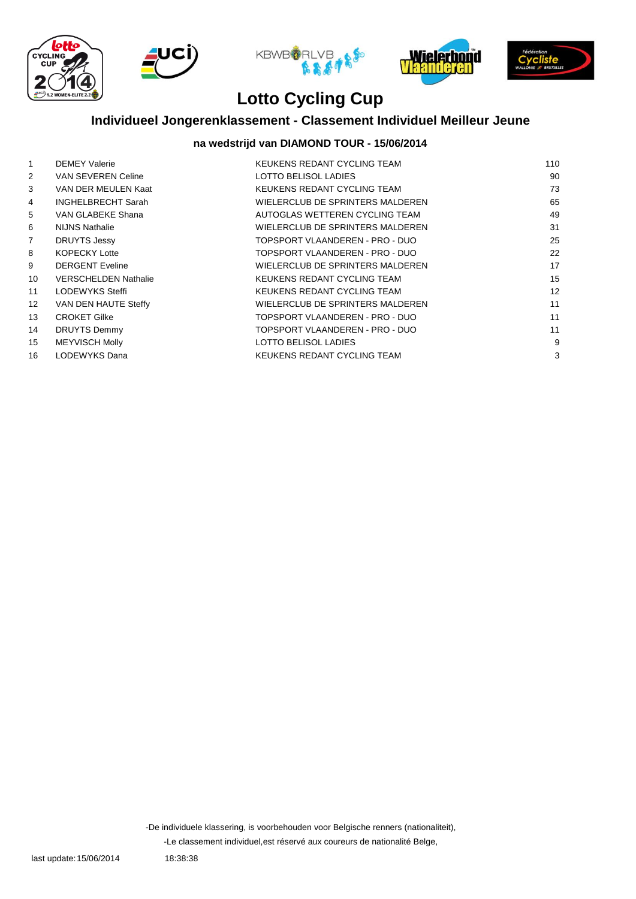









## **Individueel Jongerenklassement - Classement Individuel Meilleur Jeune**

#### **na wedstrijd van DIAMOND TOUR - 15/06/2014**

| $\mathbf{1}$    | <b>DEMEY Valerie</b>        | KEUKENS REDANT CYCLING TEAM      | 110 |
|-----------------|-----------------------------|----------------------------------|-----|
| $\overline{2}$  | <b>VAN SEVEREN Celine</b>   | LOTTO BELISOL LADIES             | 90  |
| 3               | VAN DER MEULEN Kaat         | KEUKENS REDANT CYCLING TEAM      | 73  |
| 4               | <b>INGHELBRECHT Sarah</b>   | WIELERCLUB DE SPRINTERS MALDEREN | 65  |
| 5               | VAN GLABEKE Shana           | AUTOGLAS WETTEREN CYCLING TEAM   | 49  |
| 6               | <b>NIJNS Nathalie</b>       | WIELERCLUB DE SPRINTERS MALDEREN | 31  |
| $\overline{7}$  | <b>DRUYTS Jessy</b>         | TOPSPORT VLAANDEREN - PRO - DUO  | 25  |
| 8               | <b>KOPECKY Lotte</b>        | TOPSPORT VLAANDEREN - PRO - DUO  | 22  |
| 9               | <b>DERGENT Eveline</b>      | WIELERCLUB DE SPRINTERS MALDEREN | 17  |
| 10              | <b>VERSCHELDEN Nathalie</b> | KEUKENS REDANT CYCLING TEAM      | 15  |
| 11              | LODEWYKS Steffi             | KEUKENS REDANT CYCLING TEAM      | 12  |
| 12 <sup>2</sup> | VAN DEN HAUTE Steffy        | WIELERCLUB DE SPRINTERS MALDEREN | 11  |
| 13              | <b>CROKET Gilke</b>         | TOPSPORT VLAANDEREN - PRO - DUO  | 11  |
| 14              | DRUYTS Demmy                | TOPSPORT VLAANDEREN - PRO - DUO  | 11  |
| 15              | <b>MEYVISCH Molly</b>       | LOTTO BELISOL LADIES             | 9   |
| 16              | LODEWYKS Dana               | KEUKENS REDANT CYCLING TEAM      | 3   |
|                 |                             |                                  |     |

-Le classement individuel,est réservé aux coureurs de nationalité Belge, -De individuele klassering, is voorbehouden voor Belgische renners (nationaliteit),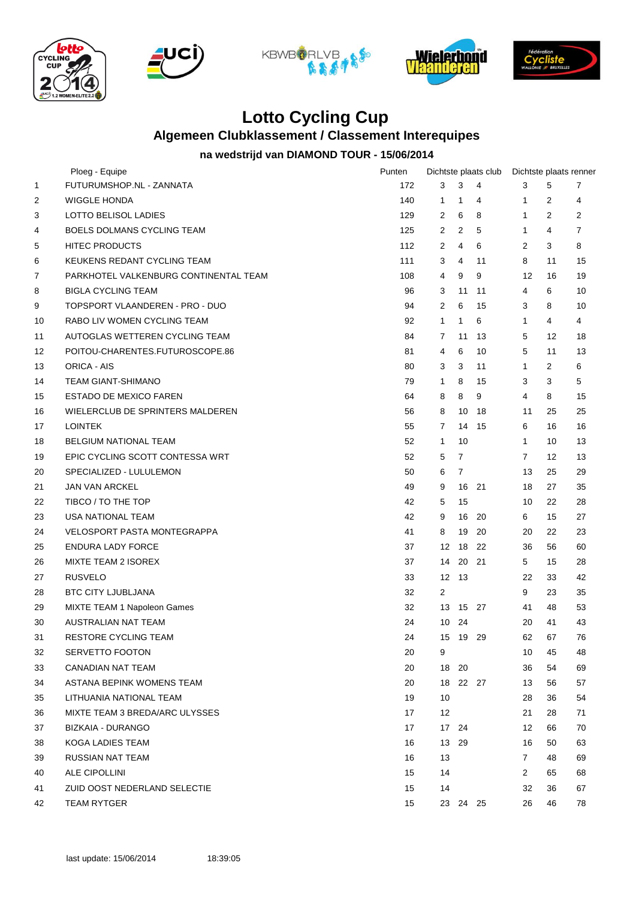









### **Algemeen Clubklassement / Classement Interequipes**

#### **na wedstrijd van DIAMOND TOUR - 15/06/2014**

|    | Ploeg - Equipe                        | Punten |                |                | Dichtste plaats club |                |                   | Dichtste plaats renner |
|----|---------------------------------------|--------|----------------|----------------|----------------------|----------------|-------------------|------------------------|
| 1  | FUTURUMSHOP.NL - ZANNATA              | 172    | 3              | 3              | $\overline{4}$       | 3              | 5                 | 7                      |
| 2  | <b>WIGGLE HONDA</b>                   | 140    | 1              | $\mathbf{1}$   | 4                    | 1              | 2                 | 4                      |
| 3  | LOTTO BELISOL LADIES                  | 129    | 2              | 6              | 8                    | $\mathbf{1}$   | 2                 | 2                      |
| 4  | <b>BOELS DOLMANS CYCLING TEAM</b>     | 125    | 2              | 2              | 5                    | $\mathbf{1}$   | 4                 | $\overline{7}$         |
| 5  | <b>HITEC PRODUCTS</b>                 | 112    | 2              | 4              | 6                    | 2              | 3                 | 8                      |
| 6  | KEUKENS REDANT CYCLING TEAM           | 111    | 3              | 4              | 11                   | 8              | 11                | 15                     |
| 7  | PARKHOTEL VALKENBURG CONTINENTAL TEAM | 108    | 4              | 9              | 9                    | 12             | 16                | 19                     |
| 8  | <b>BIGLA CYCLING TEAM</b>             | 96     | 3              | 11             | 11                   | 4              | 6                 | 10                     |
| 9  | TOPSPORT VLAANDEREN - PRO - DUO       | 94     | 2              | 6              | 15                   | 3              | 8                 | 10                     |
| 10 | RABO LIV WOMEN CYCLING TEAM           | 92     | $\mathbf{1}$   | $\mathbf{1}$   | 6                    | $\mathbf{1}$   | 4                 | 4                      |
| 11 | AUTOGLAS WETTEREN CYCLING TEAM        | 84     | $\overline{7}$ | 11             | 13                   | 5              | 12                | 18                     |
| 12 | POITOU-CHARENTES.FUTUROSCOPE.86       | 81     | 4              | 6              | 10                   | 5              | 11                | 13                     |
| 13 | ORICA - AIS                           | 80     | 3              | 3              | 11                   | $\mathbf{1}$   | 2                 | 6                      |
| 14 | <b>TEAM GIANT-SHIMANO</b>             | 79     | 1              | 8              | 15                   | 3              | 3                 | 5                      |
| 15 | <b>ESTADO DE MEXICO FAREN</b>         | 64     | 8              | 8              | 9                    | 4              | 8                 | 15                     |
| 16 | WIELERCLUB DE SPRINTERS MALDEREN      | 56     | 8              | 10             | 18                   | 11             | 25                | 25                     |
| 17 | <b>LOINTEK</b>                        | 55     | 7              | 14             | 15                   | 6              | 16                | 16                     |
| 18 | <b>BELGIUM NATIONAL TEAM</b>          | 52     | $\mathbf{1}$   | 10             |                      | $\mathbf{1}$   | 10                | 13                     |
| 19 | EPIC CYCLING SCOTT CONTESSA WRT       | 52     | 5              | $\overline{7}$ |                      | $\overline{7}$ | $12 \overline{ }$ | 13                     |
| 20 | SPECIALIZED - LULULEMON               | 50     | 6              | $\overline{7}$ |                      | 13             | 25                | 29                     |
| 21 | <b>JAN VAN ARCKEL</b>                 | 49     | 9              | 16             | 21                   | 18             | 27                | 35                     |
| 22 | TIBCO / TO THE TOP                    | 42     | 5              | 15             |                      | 10             | 22                | 28                     |
| 23 | USA NATIONAL TEAM                     | 42     | 9              | 16             | 20                   | 6              | 15                | 27                     |
| 24 | <b>VELOSPORT PASTA MONTEGRAPPA</b>    | 41     | 8              | 19             | 20                   | 20             | 22                | 23                     |
| 25 | <b>ENDURA LADY FORCE</b>              | 37     | 12             | 18             | 22                   | 36             | 56                | 60                     |
| 26 | MIXTE TEAM 2 ISOREX                   | 37     | 14             | 20             | 21                   | 5              | 15                | 28                     |
| 27 | <b>RUSVELO</b>                        | 33     | 12             | - 13           |                      | 22             | 33                | 42                     |
| 28 | <b>BTC CITY LJUBLJANA</b>             | 32     | 2              |                |                      | 9              | 23                | 35                     |
| 29 | MIXTE TEAM 1 Napoleon Games           | 32     | 13             | 15 27          |                      | 41             | 48                | 53                     |
| 30 | AUSTRALIAN NAT TEAM                   | 24     |                | 10 24          |                      | 20             | 41                | 43                     |
| 31 | <b>RESTORE CYCLING TEAM</b>           | 24     | 15             | 19 29          |                      | 62             | 67                | 76                     |
| 32 | SERVETTO FOOTON                       | 20     | 9              |                |                      | 10             | 45                | 48                     |
| 33 | CANADIAN NAT TEAM                     | 20     | 18 20          |                |                      | 36             | 54                | 69                     |
| 34 | ASTANA BEPINK WOMENS TEAM             | 20     |                | 18 22 27       |                      | 13             | 56                | 57                     |
| 35 | LITHUANIA NATIONAL TEAM               | 19     | 10             |                |                      | 28             | 36                | 54                     |
| 36 | MIXTE TEAM 3 BREDA/ARC ULYSSES        | 17     | 12             |                |                      | 21             | 28                | 71                     |
| 37 | BIZKAIA - DURANGO                     | 17     |                | 17 24          |                      | 12             | 66                | 70                     |
| 38 | KOGA LADIES TEAM                      | 16     | 13 29          |                |                      | 16             | 50                | 63                     |
| 39 | RUSSIAN NAT TEAM                      | 16     | 13             |                |                      | $\mathbf{7}$   | 48                | 69                     |
| 40 | ALE CIPOLLINI                         | 15     | 14             |                |                      | 2              | 65                | 68                     |
| 41 | ZUID OOST NEDERLAND SELECTIE          | 15     | 14             |                |                      | 32             | 36                | 67                     |
| 42 | <b>TEAM RYTGER</b>                    | 15     |                | 23 24 25       |                      | 26             | 46                | 78                     |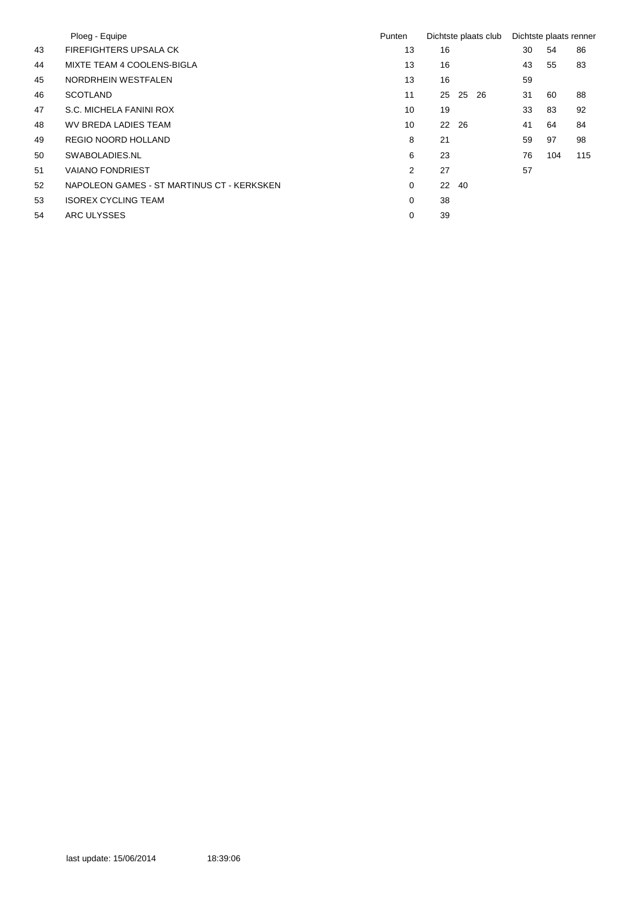|    | Ploeg - Equipe                             | Punten |    |     | Dichtste plaats club | Dichtste plaats renner |     |     |
|----|--------------------------------------------|--------|----|-----|----------------------|------------------------|-----|-----|
| 43 | <b>FIREFIGHTERS UPSALA CK</b>              | 13     | 16 |     |                      | 30                     | 54  | 86  |
| 44 | MIXTE TEAM 4 COOLENS-BIGLA                 | 13     | 16 |     |                      | 43                     | 55  | 83  |
| 45 | NORDRHEIN WESTFALEN                        | 13     | 16 |     |                      | 59                     |     |     |
| 46 | <b>SCOTLAND</b>                            | 11     | 25 | 25  | -26                  | 31                     | 60  | 88  |
| 47 | S.C. MICHELA FANINI ROX                    | 10     | 19 |     |                      | 33                     | 83  | 92  |
| 48 | WV BREDA LADIES TEAM                       | 10     | 22 | 26  |                      | 41                     | 64  | 84  |
| 49 | REGIO NOORD HOLLAND                        | 8      | 21 |     |                      | 59                     | 97  | 98  |
| 50 | SWABOLADIES.NL                             | 6      | 23 |     |                      | 76                     | 104 | 115 |
| 51 | <b>VAIANO FONDRIEST</b>                    | 2      | 27 |     |                      | 57                     |     |     |
| 52 | NAPOLEON GAMES - ST MARTINUS CT - KERKSKEN | 0      | 22 | -40 |                      |                        |     |     |
| 53 | <b>ISOREX CYCLING TEAM</b>                 | 0      | 38 |     |                      |                        |     |     |
| 54 | ARC ULYSSES                                | 0      | 39 |     |                      |                        |     |     |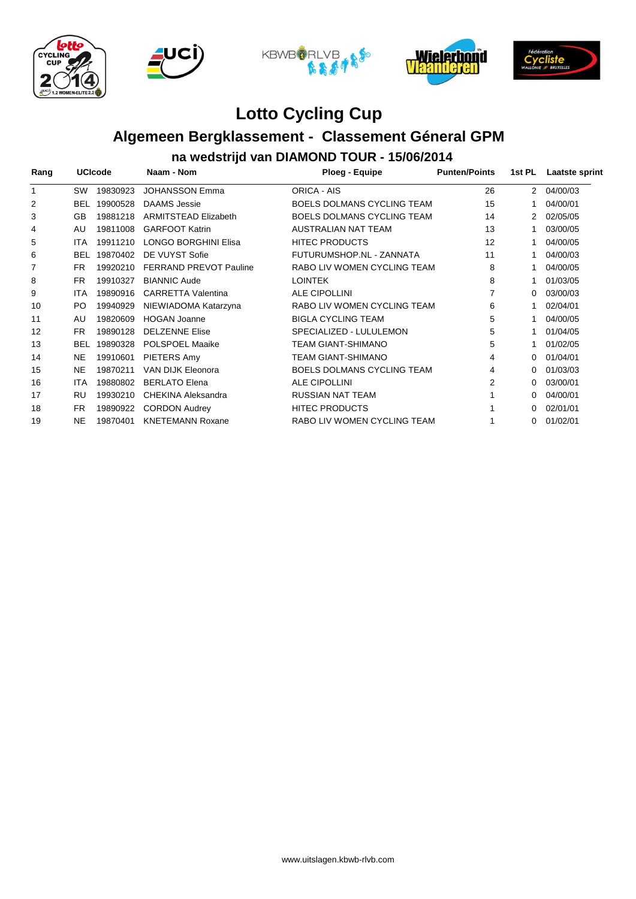









# **Algemeen Bergklassement - Classement Géneral GPM**

**na wedstrijd van DIAMOND TOUR - 15/06/2014**

| Rang<br>1 | <b>UCIcode</b> |          | Naam - Nom                    | <b>Ploeg - Equipe</b>             | <b>Punten/Points</b> | 1st PL         | Laatste sprint |
|-----------|----------------|----------|-------------------------------|-----------------------------------|----------------------|----------------|----------------|
|           | <b>SW</b>      | 19830923 | <b>JOHANSSON Emma</b>         | <b>ORICA - AIS</b>                | 26                   | $\overline{2}$ | 04/00/03       |
| 2         | <b>BEL</b>     | 19900528 | <b>DAAMS</b> Jessie           | <b>BOELS DOLMANS CYCLING TEAM</b> | 15                   |                | 04/00/01       |
| 3         | GB             | 19881218 | <b>ARMITSTEAD Elizabeth</b>   | <b>BOELS DOLMANS CYCLING TEAM</b> | 14                   |                | 02/05/05       |
| 4         | AU             | 19811008 | <b>GARFOOT Katrin</b>         | <b>AUSTRALIAN NAT TEAM</b>        | 13                   |                | 03/00/05       |
| 5         | <b>ITA</b>     | 19911210 | <b>LONGO BORGHINI Elisa</b>   | <b>HITEC PRODUCTS</b>             | 12                   |                | 04/00/05       |
| 6         | <b>BEL</b>     | 19870402 | DE VUYST Sofie                | FUTURUMSHOP.NL - ZANNATA          | 11                   |                | 04/00/03       |
| 7         | <b>FR</b>      | 19920210 | <b>FERRAND PREVOT Pauline</b> | RABO LIV WOMEN CYCLING TEAM       | 8                    |                | 04/00/05       |
| 8         | <b>FR</b>      | 19910327 | <b>BIANNIC Aude</b>           | <b>LOINTEK</b>                    | 8                    |                | 01/03/05       |
| 9         | ITA            | 19890916 | <b>CARRETTA Valentina</b>     | <b>ALE CIPOLLINI</b>              |                      | 0              | 03/00/03       |
| 10        | PO             | 19940929 | NIEWIADOMA Katarzyna          | RABO LIV WOMEN CYCLING TEAM       | 6                    |                | 02/04/01       |
| 11        | AU             | 19820609 | <b>HOGAN Joanne</b>           | <b>BIGLA CYCLING TEAM</b>         | 5                    |                | 04/00/05       |
| 12        | <b>FR</b>      | 19890128 | <b>DELZENNE Elise</b>         | SPECIALIZED - LULULEMON           | 5                    |                | 01/04/05       |
| 13        | <b>BEL</b>     | 19890328 | <b>POLSPOEL Maaike</b>        | TEAM GIANT-SHIMANO                | 5                    |                | 01/02/05       |
| 14        | <b>NE</b>      | 19910601 | PIETERS Amy                   | TEAM GIANT-SHIMANO                | 4                    | 0              | 01/04/01       |
| 15        | <b>NE</b>      | 19870211 | <b>VAN DIJK Eleonora</b>      | <b>BOELS DOLMANS CYCLING TEAM</b> | 4                    | 0              | 01/03/03       |
| 16        | ITA            | 19880802 | <b>BERLATO Elena</b>          | <b>ALE CIPOLLINI</b>              | 2                    | 0              | 03/00/01       |
| 17        | RU             | 19930210 | CHEKINA Aleksandra            | <b>RUSSIAN NAT TEAM</b>           |                      | 0              | 04/00/01       |
| 18        | <b>FR</b>      | 19890922 | <b>CORDON Audrey</b>          | <b>HITEC PRODUCTS</b>             |                      | 0              | 02/01/01       |
| 19        | <b>NE</b>      | 19870401 | <b>KNETEMANN Roxane</b>       | RABO LIV WOMEN CYCLING TEAM       |                      | 0              | 01/02/01       |